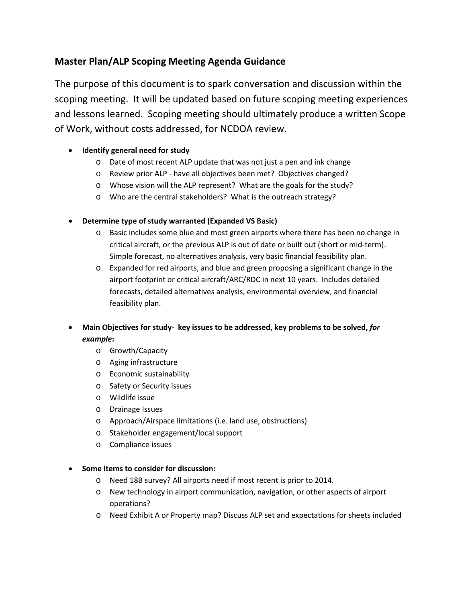# **Master Plan/ALP Scoping Meeting Agenda Guidance**

The purpose of this document is to spark conversation and discussion within the scoping meeting. It will be updated based on future scoping meeting experiences and lessons learned. Scoping meeting should ultimately produce a written Scope of Work, without costs addressed, for NCDOA review.

## • **Identify general need for study**

- o Date of most recent ALP update that was not just a pen and ink change
- o Review prior ALP have all objectives been met? Objectives changed?
- o Whose vision will the ALP represent? What are the goals for the study?
- o Who are the central stakeholders? What is the outreach strategy?
- **Determine type of study warranted (Expanded VS Basic)**
	- o Basic includes some blue and most green airports where there has been no change in critical aircraft, or the previous ALP is out of date or built out (short or mid-term). Simple forecast, no alternatives analysis, very basic financial feasibility plan.
	- $\circ$  Expanded for red airports, and blue and green proposing a significant change in the airport footprint or critical aircraft/ARC/RDC in next 10 years. Includes detailed forecasts, detailed alternatives analysis, environmental overview, and financial feasibility plan.
- **Main Objectives for study- key issues to be addressed, key problems to be solved,** *for example***:**
	- o Growth/Capacity
	- o Aging infrastructure
	- o Economic sustainability
	- o Safety or Security issues
	- o Wildlife issue
	- o Drainage Issues
	- o Approach/Airspace limitations (i.e. land use, obstructions)
	- o Stakeholder engagement/local support
	- o Compliance issues

## • **Some items to consider for discussion:**

- o Need 18B survey? All airports need if most recent is prior to 2014.
- o New technology in airport communication, navigation, or other aspects of airport operations?
- o Need Exhibit A or Property map? Discuss ALP set and expectations for sheets included